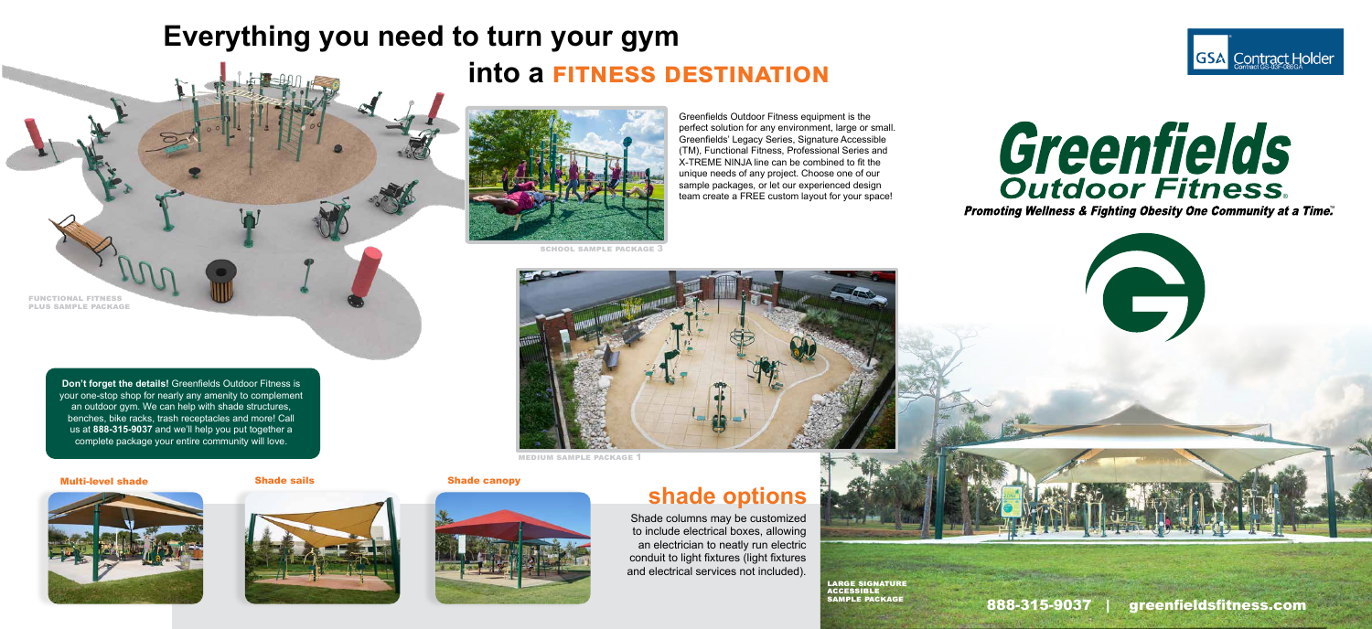# **Everything you need to turn your gym into a fitness destination**



SCHOOL SAMPLE PACKAGE  $\ddot{.}$ 

medium sample package 1



large signature accessible sample package

functional fitness plus sample package

Greenfields Outdoor Fitness equipment is the perfect solution for any environment, large or small. Greenfields' Legacy Series, Signature Accessible (TM), Functional Fitness, Professional Series and X-TREME NINJA line can be combined to fit the unique needs of any project. Choose one of our sample packages, or let our experienced design team create a FREE custom layout for your space!

# **Greenfields**

†a Time. ⊤

**Don't forget the details!** Greenfields Outdoor Fitness is your one-stop shop for nearly any amenity to complement an outdoor gym. We can help with shade structures, benches, bike racks, trash receptacles and more! Call us at **888-315-9037** and we'll help you put together a complete package your entire community will love.

#### Multi-level shade Shade sails Shade canopy







## **shade options**

Shade columns may be customized to include electrical boxes, allowing an electrician to neatly run electric conduit to light fixtures (light fixtures and electrical services not included).

888-315-9037 | greenfieldsfitness.com